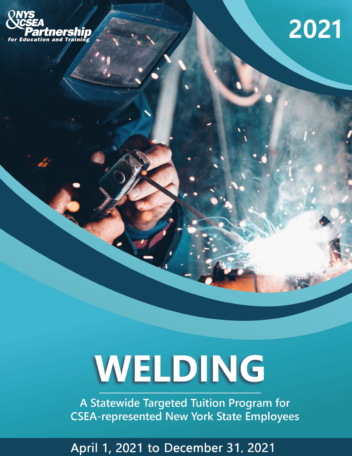

## 2021

# WELDING

A Statewide Targeted Tuition Program for **CSEA-represented New York State Employees** 

April 1, 2021 to December 31, 2021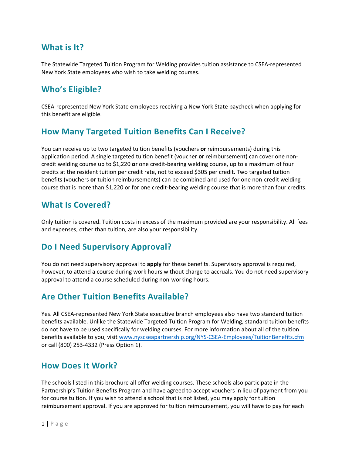#### **What is It?**

The Statewide Targeted Tuition Program for Welding provides tuition assistance to CSEA‐represented New York State employees who wish to take welding courses.

#### **Who's Eligible?**

CSEA‐represented New York State employees receiving a New York State paycheck when applying for this benefit are eligible.

#### **How Many Targeted Tuition Benefits Can I Receive?**

You can receive up to two targeted tuition benefits (vouchers **or** reimbursements) during this application period. A single targeted tuition benefit (voucher **or** reimbursement) can cover one non‐ credit welding course up to \$1,220 **or** one credit‐bearing welding course, up to a maximum of four credits at the resident tuition per credit rate, not to exceed \$305 per credit. Two targeted tuition benefits (vouchers **or** tuition reimbursements) can be combined and used for one non‐credit welding course that is more than \$1,220 or for one credit-bearing welding course that is more than four credits.

#### **What Is Covered?**

Only tuition is covered. Tuition costs in excess of the maximum provided are your responsibility. All fees and expenses, other than tuition, are also your responsibility.

#### **Do I Need Supervisory Approval?**

You do not need supervisory approval to **apply** for these benefits. Supervisory approval is required, however, to attend a course during work hours without charge to accruals. You do not need supervisory approval to attend a course scheduled during non‐working hours.

#### **Are Other Tuition Benefits Available?**

Yes. All CSEA‐represented New York State executive branch employees also have two standard tuition benefits available. Unlike the Statewide Targeted Tuition Program for Welding, standard tuition benefits do not have to be used specifically for welding courses. For more information about all of the tuition benefits available to you, visit www.nyscseapartnership.org/NYS‐CSEA‐Employees/TuitionBenefits.cfm or call (800) 253‐4332 (Press Option 1).

#### **How Does It Work?**

The schools listed in this brochure all offer welding courses. These schools also participate in the Partnership's Tuition Benefits Program and have agreed to accept vouchers in lieu of payment from you for course tuition. If you wish to attend a school that is not listed, you may apply for tuition reimbursement approval. If you are approved for tuition reimbursement, you will have to pay for each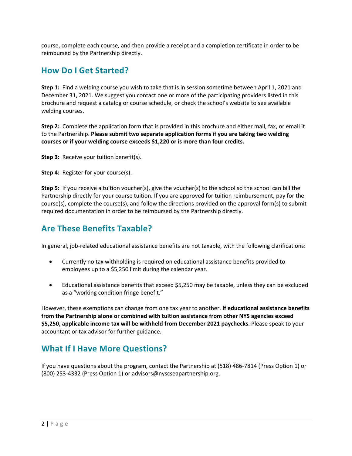course, complete each course, and then provide a receipt and a completion certificate in order to be reimbursed by the Partnership directly.

#### **How Do I Get Started?**

**Step 1:** Find a welding course you wish to take that is in session sometime between April 1, 2021 and December 31, 2021. We suggest you contact one or more of the participating providers listed in this brochure and request a catalog or course schedule, or check the school's website to see available welding courses.

**Step 2:** Complete the application form that is provided in this brochure and either mail, fax, or email it to the Partnership. **Please submit two separate application forms if you are taking two welding courses or if your welding course exceeds \$1,220 or is more than four credits.**

**Step 3:** Receive your tuition benefit(s).

**Step 4:** Register for your course(s).

**Step 5:** If you receive a tuition voucher(s), give the voucher(s) to the school so the school can bill the Partnership directly for your course tuition. If you are approved for tuition reimbursement, pay for the course(s), complete the course(s), and follow the directions provided on the approval form(s) to submit required documentation in order to be reimbursed by the Partnership directly.

#### **Are These Benefits Taxable?**

In general, job-related educational assistance benefits are not taxable, with the following clarifications:

- Currently no tax withholding is required on educational assistance benefits provided to employees up to a \$5,250 limit during the calendar year.
- Educational assistance benefits that exceed \$5,250 may be taxable, unless they can be excluded as a "working condition fringe benefit."

However, these exemptions can change from one tax year to another. **If educational assistance benefits from the Partnership alone or combined with tuition assistance from other NYS agencies exceed \$5,250, applicable income tax will be withheld from December 2021 paychecks**. Please speak to your accountant or tax advisor for further guidance.

#### **What If I Have More Questions?**

If you have questions about the program, contact the Partnership at (518) 486‐7814 (Press Option 1) or (800) 253‐4332 (Press Option 1) or advisors@nyscseapartnership.org.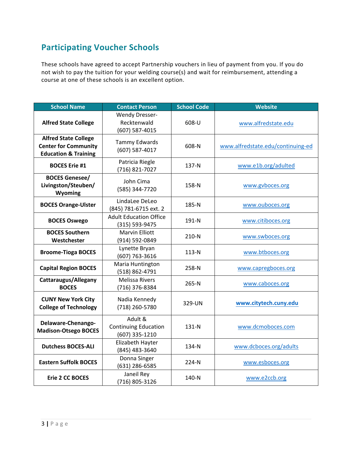### **Participating Voucher Schools**

These schools have agreed to accept Partnership vouchers in lieu of payment from you. If you do not wish to pay the tuition for your welding course(s) and wait for reimbursement, attending a course at one of these schools is an excellent option.

| <b>School Name</b>                                                                            | <b>Contact Person</b>                                    | <b>School Code</b> | <b>Website</b>                    |
|-----------------------------------------------------------------------------------------------|----------------------------------------------------------|--------------------|-----------------------------------|
| <b>Alfred State College</b>                                                                   | <b>Wendy Dresser-</b><br>Recktenwald<br>(607) 587-4015   | 608-U              | www.alfredstate.edu               |
| <b>Alfred State College</b><br><b>Center for Community</b><br><b>Education &amp; Training</b> | <b>Tammy Edwards</b><br>(607) 587-4017                   | 608-N              | www.alfredstate.edu/continuing-ed |
| <b>BOCES Erie #1</b>                                                                          | Patricia Riegle<br>(716) 821-7027                        | 137-N              | www.e1b.org/adulted               |
| <b>BOCES Genesee/</b><br>Livingston/Steuben/<br>Wyoming                                       | John Cima<br>(585) 344-7720                              | 158-N              | www.gvboces.org                   |
| <b>BOCES Orange-Ulster</b>                                                                    | LindaLee DeLeo<br>(845) 781-6715 ext. 2                  | 185-N              | www.ouboces.org                   |
| <b>BOCES Oswego</b>                                                                           | <b>Adult Education Office</b><br>(315) 593-9475          | 191-N              | www.citiboces.org                 |
| <b>BOCES Southern</b><br>Westchester                                                          | <b>Marvin Elliott</b><br>(914) 592-0849                  | 210-N              | www.swboces.org                   |
| <b>Broome-Tioga BOCES</b>                                                                     | Lynette Bryan<br>(607) 763-3616                          | $113-N$            | www.btboces.org                   |
| <b>Capital Region BOCES</b>                                                                   | Maria Huntington<br>(518) 862-4791                       | 258-N              | www.capregboces.org               |
| Cattaraugus/Allegany<br><b>BOCES</b>                                                          | <b>Melissa Rivers</b><br>(716) 376-8384                  | 265-N              | www.caboces.org                   |
| <b>CUNY New York City</b><br><b>College of Technology</b>                                     | Nadia Kennedy<br>(718) 260-5780                          | 329-UN             | www.citytech.cuny.edu             |
| Delaware-Chenango-<br><b>Madison-Otsego BOCES</b>                                             | Adult &<br><b>Continuing Education</b><br>(607) 335-1210 | 131-N              | www.dcmoboces.com                 |
| <b>Dutchess BOCES-ALI</b>                                                                     | Elizabeth Hayter<br>(845) 483-3640                       | 134-N              | www.dcboces.org/adults            |
| <b>Eastern Suffolk BOCES</b>                                                                  | Donna Singer<br>(631) 286-6585                           | 224-N              | www.esboces.org                   |
| <b>Erie 2 CC BOCES</b>                                                                        | Janeil Rey<br>(716) 805-3126                             | 140-N              | www.e2ccb.org                     |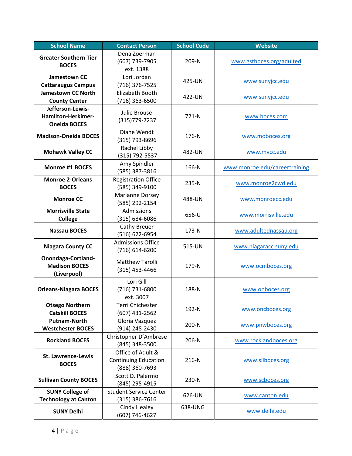| <b>School Name</b>                                            | <b>Contact Person</b>                                              | <b>School Code</b> | <b>Website</b>                |
|---------------------------------------------------------------|--------------------------------------------------------------------|--------------------|-------------------------------|
| <b>Greater Southern Tier</b><br><b>BOCES</b>                  | Dena Zoerman<br>(607) 739-7905<br>ext. 1388                        | 209-N              | www.gstboces.org/adulted      |
| Jamestown CC<br><b>Cattaraugus Campus</b>                     | Lori Jordan<br>(716) 376-7525                                      | 425-UN             | www.sunyjcc.edu               |
| <b>Jamestown CC North</b><br><b>County Center</b>             | Elizabeth Booth<br>$(716)$ 363-6500                                | 422-UN             | www.sunyjcc.edu               |
| Jefferson-Lewis-<br>Hamilton-Herkimer-<br><b>Oneida BOCES</b> | Julie Brouse<br>(315) 779-7237                                     | 721-N              | www.boces.com                 |
| <b>Madison-Oneida BOCES</b>                                   | Diane Wendt<br>(315) 793-8696                                      | 176-N              | www.moboces.org               |
| <b>Mohawk Valley CC</b>                                       | Rachel Libby<br>(315) 792-5537                                     | 482-UN             | www.mvcc.edu                  |
| <b>Monroe #1 BOCES</b>                                        | Amy Spindler<br>(585) 387-3816                                     | 166-N              | www.monroe.edu/careertraining |
| <b>Monroe 2-Orleans</b><br><b>BOCES</b>                       | <b>Registration Office</b><br>(585) 349-9100                       | 235-N              | www.monroe2cwd.edu            |
| <b>Monroe CC</b>                                              | Marianne Dorsey<br>(585) 292-2154                                  | 488-UN             | www.monroecc.edu              |
| <b>Morrisville State</b><br><b>College</b>                    | Admissions<br>(315) 684-6086                                       | 656-U              | www.morrisville.edu           |
| <b>Nassau BOCES</b>                                           | Cathy Breuer<br>(516) 622-6954                                     | 173-N              | www.adultednassau.org         |
| <b>Niagara County CC</b>                                      | <b>Admissions Office</b><br>(716) 614-6200                         | 515-UN             | www.niagaracc.suny.edu        |
| Onondaga-Cortland-<br><b>Madison BOCES</b><br>(Liverpool)     | Matthew Tarolli<br>$(315)$ 453-4466                                | 179-N              | www.ocmboces.org              |
| <b>Orleans-Niagara BOCES</b>                                  | Lori Gill<br>(716) 731-6800<br>ext. 3007                           | 188-N              | www.onboces.org               |
| <b>Otsego Northern</b><br><b>Catskill BOCES</b>               | Terri Chichester<br>(607) 431-2562                                 | 192-N              | www.oncboces.org              |
| <b>Putnam-North</b><br><b>Westchester BOCES</b>               | Gloria Vazquez<br>(914) 248-2430                                   | 200-N              | www.pnwboces.org              |
| <b>Rockland BOCES</b>                                         | Christopher D'Ambrese<br>(845) 348-3500                            | 206-N              | www.rocklandboces.org         |
| <b>St. Lawrence-Lewis</b><br><b>BOCES</b>                     | Office of Adult &<br><b>Continuing Education</b><br>(888) 360-7693 | 216-N              | www.sllboces.org              |
| <b>Sullivan County BOCES</b>                                  | Scott D. Palermo<br>(845) 295-4915                                 | 230-N              | www.scboces.org               |
| <b>SUNY College of</b><br><b>Technology at Canton</b>         | <b>Student Service Center</b><br>$(315)$ 386-7616                  | 626-UN             | www.canton.edu                |
| <b>SUNY Delhi</b>                                             | Cindy Healey<br>(607) 746-4627                                     | 638-UNG            | www.delhi.edu                 |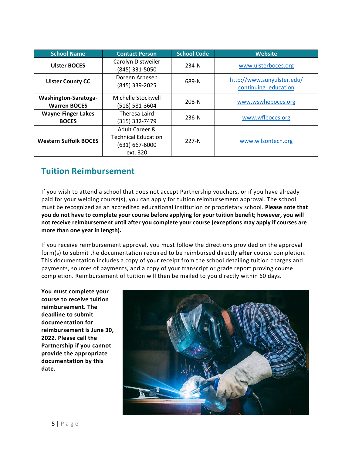| <b>School Name</b>                                 | <b>Contact Person</b>                                                      | <b>School Code</b> | <b>Website</b>                                     |
|----------------------------------------------------|----------------------------------------------------------------------------|--------------------|----------------------------------------------------|
| <b>Ulster BOCES</b>                                | Carolyn Distweiler<br>(845) 331-5050                                       | 234-N              | www.ulsterboces.org                                |
| <b>Ulster County CC</b>                            | Doreen Arnesen<br>(845) 339-2025                                           | 689-N              | http://www.sunyulster.edu/<br>continuing education |
| <b>Washington-Saratoga-</b><br><b>Warren BOCES</b> | Michelle Stockwell<br>(518) 581-3604                                       | $208 - N$          | www.wswheboces.org                                 |
| <b>Wayne-Finger Lakes</b><br><b>BOCES</b>          | Theresa Laird<br>(315) 332-7479                                            | $236-N$            | www.wflboces.org                                   |
| <b>Western Suffolk BOCES</b>                       | Adult Career &<br><b>Technical Education</b><br>(631) 667-6000<br>ext. 320 | $227 - N$          | www.wilsontech.org                                 |

#### **Tuition Reimbursement**

If you wish to attend a school that does not accept Partnership vouchers, or if you have already paid for your welding course(s), you can apply for tuition reimbursement approval. The school must be recognized as an accredited educational institution or proprietary school. **Please note that you do not have to complete your course before applying for your tuition benefit; however, you will not receive reimbursement until after you complete your course (exceptions may apply if courses are more than one year in length).**

If you receive reimbursement approval, you must follow the directions provided on the approval form(s) to submit the documentation required to be reimbursed directly **after** course completion. This documentation includes a copy of your receipt from the school detailing tuition charges and payments, sources of payments, and a copy of your transcript or grade report proving course completion. Reimbursement of tuition will then be mailed to you directly within 60 days.

**You must complete your course to receive tuition reimbursement. The deadline to submit documentation for reimbursement is June 30, 2022. Please call the Partnership if you cannot provide the appropriate documentation by this date.**

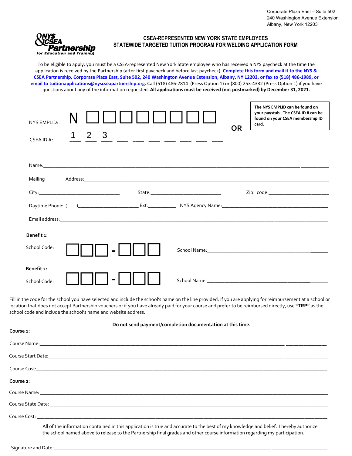

#### **CSEA-REPRESENTED NEW YORK STATE EMPLOYEES STATEWIDE TARGETED TUITION PROGRAM FOR WELDING APPLICATION FORM**

To be eligible to apply, you must be a CSEA-represented New York State employee who has received a NYS paycheck at the time the application is received by the Partnership (after first paycheck and before last paycheck). **Complete this form and mail it to the NYS & CSEA Partnership, Corporate Plaza East, Suite 502, 240 Washington Avenue Extension, Albany, NY 12203, or fax to (518) 486-1989, or email to tuitionapplications@nyscseapartnership.org.** Call (518) 486-7814 (Press Option 1) or (800) 253-4332 (Press Option 1) if you have questions about any of the information requested. **All applications must be received (not postmarked) by December 31, 2021.**

| NYS FMPLID-<br>2 3                    | The NYS EMPLID can be found on<br>your paystub. The CSEA ID # can be<br>found on your CSEA membership ID<br>card.<br><b>OR</b>                                                                                                |
|---------------------------------------|-------------------------------------------------------------------------------------------------------------------------------------------------------------------------------------------------------------------------------|
| __ __ __ __ __ __ __<br>CSEA ID $#$ : |                                                                                                                                                                                                                               |
|                                       |                                                                                                                                                                                                                               |
| Mailing                               |                                                                                                                                                                                                                               |
|                                       | Zip code: the contract of the contract of the contract of the contract of the contract of the contract of the contract of the contract of the contract of the contract of the contract of the contract of the contract of the |
|                                       |                                                                                                                                                                                                                               |
|                                       |                                                                                                                                                                                                                               |
| Benefit 1:                            |                                                                                                                                                                                                                               |
| School Code:                          |                                                                                                                                                                                                                               |
| Benefit 2:                            |                                                                                                                                                                                                                               |
| School Code:                          |                                                                                                                                                                                                                               |

Fill in the code for the school you have selected and include the school's name on the line provided. If you are applying for reimbursement at a school or location that does not accept Partnership vouchers or if you have already paid for your course and prefer to be reimbursed directly, use **"TRP"** as the school code and include the school's name and website address.

|                       | Do not send payment/completion documentation at this time.                                                                                                                                                                                                         |
|-----------------------|--------------------------------------------------------------------------------------------------------------------------------------------------------------------------------------------------------------------------------------------------------------------|
| Course 1:             |                                                                                                                                                                                                                                                                    |
|                       |                                                                                                                                                                                                                                                                    |
|                       |                                                                                                                                                                                                                                                                    |
|                       |                                                                                                                                                                                                                                                                    |
| Course <sub>2</sub> : |                                                                                                                                                                                                                                                                    |
|                       |                                                                                                                                                                                                                                                                    |
|                       |                                                                                                                                                                                                                                                                    |
|                       |                                                                                                                                                                                                                                                                    |
|                       | All of the information contained in this application is true and accurate to the best of my knowledge and belief. I hereby authorize<br>the school named above to release to the Partnership final grades and other course information regarding my participation. |